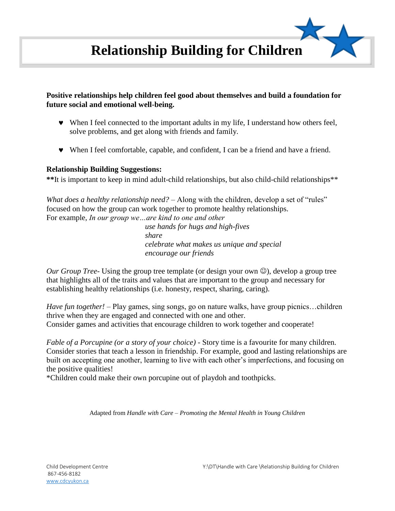## **Positive relationships help children feel good about themselves and build a foundation for future social and emotional well-being.**

- When I feel connected to the important adults in my life, I understand how others feel, solve problems, and get along with friends and family.
- When I feel comfortable, capable, and confident, I can be a friend and have a friend.

## **Relationship Building Suggestions:**

**\*\***It is important to keep in mind adult-child relationships, but also child-child relationships\*\*

*What does a healthy relationship need?* – Along with the children, develop a set of "rules" focused on how the group can work together to promote healthy relationships. For example, *In our group we…are kind to one and other*

 *use hands for hugs and high-fives share celebrate what makes us unique and special encourage our friends*

*Our Group Tree-* Using the group tree template (or design your own  $\circledcirc$ ), develop a group tree that highlights all of the traits and values that are important to the group and necessary for establishing healthy relationships (i.e. honesty, respect, sharing, caring).

*Have fun together! –* Play games, sing songs, go on nature walks, have group picnics…children thrive when they are engaged and connected with one and other. Consider games and activities that encourage children to work together and cooperate!

*Fable of a Porcupine (or a story of your choice) -* Story time is a favourite for many children. Consider stories that teach a lesson in friendship. For example, good and lasting relationships are built on accepting one another, learning to live with each other's imperfections, and focusing on the positive qualities!

\*Children could make their own porcupine out of playdoh and toothpicks.

Adapted from *Handle with Care – Promoting the Mental Health in Young Children*